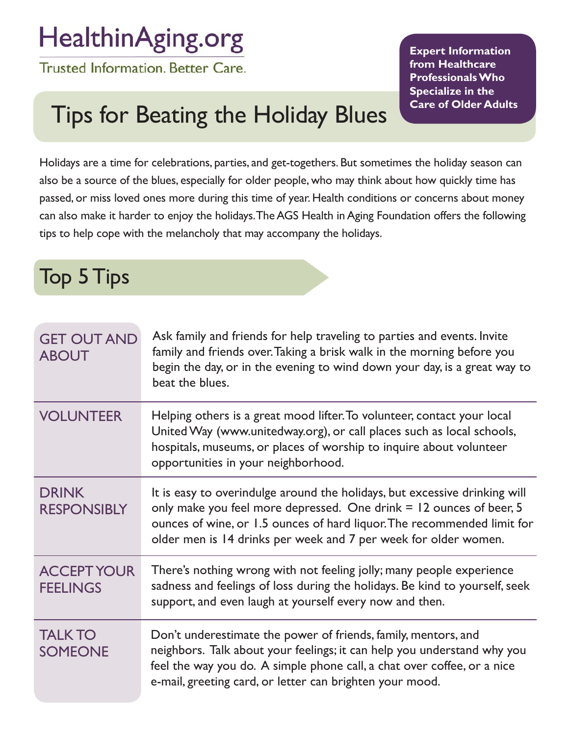## HealthinAging.org

Trusted Information. Better Care.

**Expert Information from Healthcare Professionals Who Specialize in the Care of Older Adults**

## Tips for Beating the Holiday Blues

Holidays are a time for celebrations, parties, and get-togethers. But sometimes the holiday season can also be a source of the blues, especially for older people, who may think about how quickly time has passed, or miss loved ones more during this time of year. Health conditions or concerns about money can also make it harder to enjoy the holidays. The AGS Health in Aging Foundation offers the following tips to help cope with the melancholy that may accompany the holidays.

Top 5 Tips

| <b>GET OUT AND</b><br><b>ABOUT</b>    | Ask family and friends for help traveling to parties and events. Invite<br>family and friends over. Taking a brisk walk in the morning before you<br>begin the day, or in the evening to wind down your day, is a great way to<br>beat the blues.                                               |
|---------------------------------------|-------------------------------------------------------------------------------------------------------------------------------------------------------------------------------------------------------------------------------------------------------------------------------------------------|
| <b>VOLUNTEER</b>                      | Helping others is a great mood lifter. To volunteer, contact your local<br>United Way (www.unitedway.org), or call places such as local schools,<br>hospitals, museums, or places of worship to inquire about volunteer<br>opportunities in your neighborhood.                                  |
| <b>DRINK</b><br><b>RESPONSIBLY</b>    | It is easy to overindulge around the holidays, but excessive drinking will<br>only make you feel more depressed. One drink = 12 ounces of beer, 5<br>ounces of wine, or 1.5 ounces of hard liquor. The recommended limit for<br>older men is 14 drinks per week and 7 per week for older women. |
| <b>ACCEPT YOUR</b><br><b>FEELINGS</b> | There's nothing wrong with not feeling jolly; many people experience<br>sadness and feelings of loss during the holidays. Be kind to yourself, seek<br>support, and even laugh at yourself every now and then.                                                                                  |
| <b>TALK TO</b><br><b>SOMEONE</b>      | Don't underestimate the power of friends, family, mentors, and<br>neighbors. Talk about your feelings; it can help you understand why you<br>feel the way you do. A simple phone call, a chat over coffee, or a nice<br>e-mail, greeting card, or letter can brighten your mood.                |